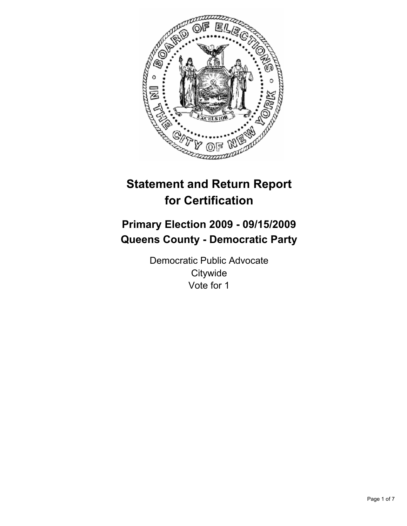

# **Statement and Return Report for Certification**

# **Primary Election 2009 - 09/15/2009 Queens County - Democratic Party**

Democratic Public Advocate **Citywide** Vote for 1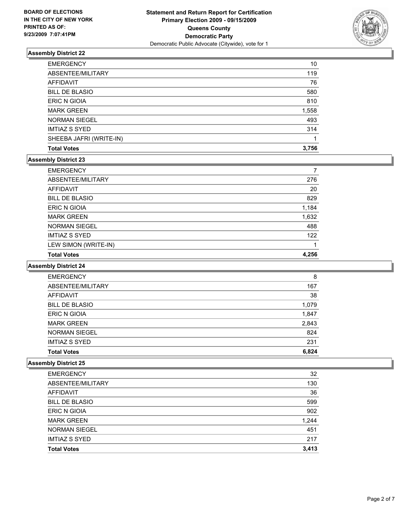

| <b>EMERGENCY</b>        | 10    |
|-------------------------|-------|
| ABSENTEE/MILITARY       | 119   |
| AFFIDAVIT               | 76    |
| <b>BILL DE BLASIO</b>   | 580   |
| ERIC N GIOIA            | 810   |
| <b>MARK GREEN</b>       | 1,558 |
| <b>NORMAN SIEGEL</b>    | 493   |
| <b>IMTIAZ S SYED</b>    | 314   |
| SHEEBA JAFRI (WRITE-IN) | 1     |
| <b>Total Votes</b>      | 3,756 |

## **Assembly District 23**

| <b>Total Votes</b>    | 4,256 |
|-----------------------|-------|
| LEW SIMON (WRITE-IN)  |       |
| <b>IMTIAZ S SYED</b>  | 122   |
| <b>NORMAN SIEGEL</b>  | 488   |
| <b>MARK GREEN</b>     | 1,632 |
| ERIC N GIOIA          | 1,184 |
| <b>BILL DE BLASIO</b> | 829   |
| AFFIDAVIT             | 20    |
| ABSENTEE/MILITARY     | 276   |
| <b>EMERGENCY</b>      |       |

#### **Assembly District 24**

| <b>EMERGENCY</b>      | 8     |
|-----------------------|-------|
| ABSENTEE/MILITARY     | 167   |
| <b>AFFIDAVIT</b>      | 38    |
| <b>BILL DE BLASIO</b> | 1,079 |
| <b>ERIC N GIOIA</b>   | 1,847 |
| <b>MARK GREEN</b>     | 2,843 |
| <b>NORMAN SIEGEL</b>  | 824   |
| <b>IMTIAZ S SYED</b>  | 231   |
| <b>Total Votes</b>    | 6,824 |

| ABSENTEE/MILITARY     | 130   |
|-----------------------|-------|
| <b>AFFIDAVIT</b>      | 36    |
| <b>BILL DE BLASIO</b> | 599   |
| ERIC N GIOIA          | 902   |
| <b>MARK GREEN</b>     | 1,244 |
| <b>NORMAN SIEGEL</b>  | 451   |
| <b>IMTIAZ S SYED</b>  | 217   |
| <b>Total Votes</b>    | 3,413 |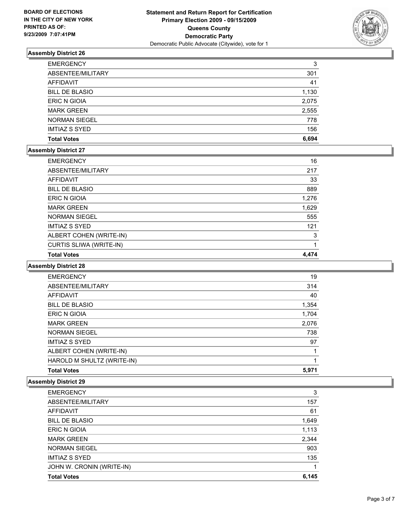

| <b>EMERGENCY</b>      | 3     |
|-----------------------|-------|
| ABSENTEE/MILITARY     | 301   |
| <b>AFFIDAVIT</b>      | 41    |
| <b>BILL DE BLASIO</b> | 1,130 |
| <b>ERIC N GIOIA</b>   | 2,075 |
| <b>MARK GREEN</b>     | 2,555 |
| <b>NORMAN SIEGEL</b>  | 778   |
| <b>IMTIAZ S SYED</b>  | 156   |
| <b>Total Votes</b>    | 6,694 |

#### **Assembly District 27**

| <b>CURTIS SLIWA (WRITE-IN)</b> |       |
|--------------------------------|-------|
| ALBERT COHEN (WRITE-IN)        | 3     |
| <b>IMTIAZ S SYED</b>           | 121   |
| <b>NORMAN SIEGEL</b>           | 555   |
| <b>MARK GREEN</b>              | 1,629 |
| <b>ERIC N GIOIA</b>            | 1,276 |
| <b>BILL DE BLASIO</b>          | 889   |
| AFFIDAVIT                      | 33    |
| ABSENTEE/MILITARY              | 217   |
| <b>EMERGENCY</b>               | 16    |

#### **Assembly District 28**

| <b>Total Votes</b>         | 5.971 |
|----------------------------|-------|
| HAROLD M SHULTZ (WRITE-IN) |       |
| ALBERT COHEN (WRITE-IN)    |       |
| <b>IMTIAZ S SYED</b>       | 97    |
| <b>NORMAN SIEGEL</b>       | 738   |
| <b>MARK GREEN</b>          | 2,076 |
| <b>ERIC N GIOIA</b>        | 1,704 |
| <b>BILL DE BLASIO</b>      | 1,354 |
| AFFIDAVIT                  | 40    |
| ABSENTEE/MILITARY          | 314   |
| <b>EMERGENCY</b>           | 19    |

| <b>EMERGENCY</b>          | 3     |
|---------------------------|-------|
| ABSENTEE/MILITARY         | 157   |
| AFFIDAVIT                 | 61    |
| <b>BILL DE BLASIO</b>     | 1,649 |
| <b>ERIC N GIOIA</b>       | 1,113 |
| <b>MARK GREEN</b>         | 2,344 |
| <b>NORMAN SIEGEL</b>      | 903   |
| <b>IMTIAZ S SYED</b>      | 135   |
| JOHN W. CRONIN (WRITE-IN) |       |
| <b>Total Votes</b>        | 6,145 |
|                           |       |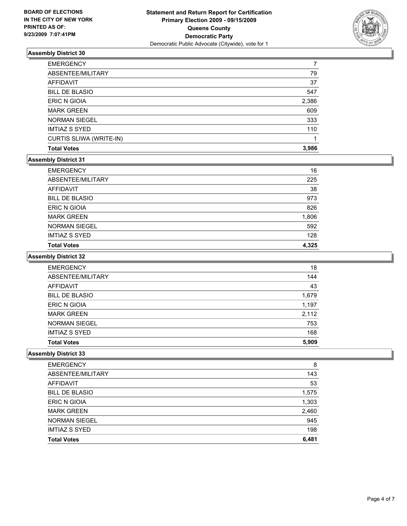

| <b>EMERGENCY</b>               |       |
|--------------------------------|-------|
| ABSENTEE/MILITARY              | 79    |
| AFFIDAVIT                      | 37    |
| <b>BILL DE BLASIO</b>          | 547   |
| ERIC N GIOIA                   | 2,386 |
| <b>MARK GREEN</b>              | 609   |
| <b>NORMAN SIEGEL</b>           | 333   |
| <b>IMTIAZ S SYED</b>           | 110   |
| <b>CURTIS SLIWA (WRITE-IN)</b> |       |
| <b>Total Votes</b>             | 3,986 |

#### **Assembly District 31**

| <b>EMERGENCY</b>      | 16    |
|-----------------------|-------|
| ABSENTEE/MILITARY     | 225   |
| <b>AFFIDAVIT</b>      | 38    |
| <b>BILL DE BLASIO</b> | 973   |
| <b>ERIC N GIOIA</b>   | 826   |
| <b>MARK GREEN</b>     | 1,806 |
| <b>NORMAN SIEGEL</b>  | 592   |
| <b>IMTIAZ S SYED</b>  | 128   |
| <b>Total Votes</b>    | 4.325 |

# **Assembly District 32**

| <b>EMERGENCY</b>      | 18    |
|-----------------------|-------|
| ABSENTEE/MILITARY     | 144   |
| <b>AFFIDAVIT</b>      | 43    |
| <b>BILL DE BLASIO</b> | 1,679 |
| <b>ERIC N GIOIA</b>   | 1,197 |
| <b>MARK GREEN</b>     | 2,112 |
| <b>NORMAN SIEGEL</b>  | 753   |
| <b>IMTIAZ S SYED</b>  | 168   |
| <b>Total Votes</b>    | 5.909 |

| <b>EMERGENCY</b>      | 8     |
|-----------------------|-------|
| ABSENTEE/MILITARY     | 143   |
| AFFIDAVIT             | 53    |
| <b>BILL DE BLASIO</b> | 1,575 |
| <b>ERIC N GIOIA</b>   | 1,303 |
| <b>MARK GREEN</b>     | 2,460 |
| <b>NORMAN SIEGEL</b>  | 945   |
| <b>IMTIAZ S SYED</b>  | 198   |
| <b>Total Votes</b>    | 6,481 |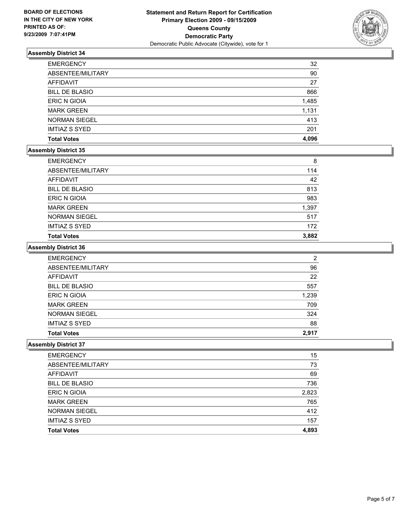

| <b>EMERGENCY</b>      | 32    |
|-----------------------|-------|
| ABSENTEE/MILITARY     | 90    |
| <b>AFFIDAVIT</b>      | 27    |
| <b>BILL DE BLASIO</b> | 866   |
| <b>ERIC N GIOIA</b>   | 1,485 |
| <b>MARK GREEN</b>     | 1,131 |
| <b>NORMAN SIEGEL</b>  | 413   |
| <b>IMTIAZ S SYED</b>  | 201   |
| <b>Total Votes</b>    | 4.096 |

#### **Assembly District 35**

| <b>EMERGENCY</b>      | 8     |
|-----------------------|-------|
| ABSENTEE/MILITARY     | 114   |
| AFFIDAVIT             | 42    |
| <b>BILL DE BLASIO</b> | 813   |
| <b>ERIC N GIOIA</b>   | 983   |
| <b>MARK GREEN</b>     | 1,397 |
| <b>NORMAN SIEGEL</b>  | 517   |
| <b>IMTIAZ S SYED</b>  | 172   |
| <b>Total Votes</b>    | 3,882 |

#### **Assembly District 36**

| <b>EMERGENCY</b>      | 2     |
|-----------------------|-------|
| ABSENTEE/MILITARY     | 96    |
| AFFIDAVIT             | 22    |
| <b>BILL DE BLASIO</b> | 557   |
| <b>ERIC N GIOIA</b>   | 1,239 |
| <b>MARK GREEN</b>     | 709   |
| <b>NORMAN SIEGEL</b>  | 324   |
| <b>IMTIAZ S SYED</b>  | 88    |
| <b>Total Votes</b>    | 2,917 |

| 15    |
|-------|
| 73    |
| 69    |
| 736   |
| 2,823 |
| 765   |
| 412   |
| 157   |
| 4.893 |
|       |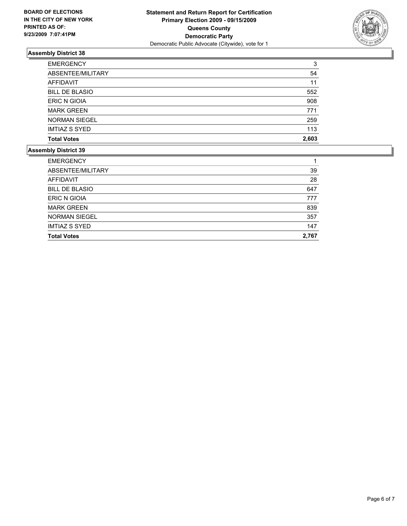

| <b>EMERGENCY</b>      | 3     |
|-----------------------|-------|
| ABSENTEE/MILITARY     | 54    |
| AFFIDAVIT             | 11    |
| <b>BILL DE BLASIO</b> | 552   |
| <b>ERIC N GIOIA</b>   | 908   |
| <b>MARK GREEN</b>     | 771   |
| <b>NORMAN SIEGEL</b>  | 259   |
| <b>IMTIAZ S SYED</b>  | 113   |
| <b>Total Votes</b>    | 2,603 |

| <b>EMERGENCY</b>      |       |
|-----------------------|-------|
| ABSENTEE/MILITARY     | 39    |
| AFFIDAVIT             | 28    |
| <b>BILL DE BLASIO</b> | 647   |
| <b>ERIC N GIOIA</b>   | 777   |
| <b>MARK GREEN</b>     | 839   |
| <b>NORMAN SIEGEL</b>  | 357   |
| <b>IMTIAZ S SYED</b>  | 147   |
| <b>Total Votes</b>    | 2,767 |